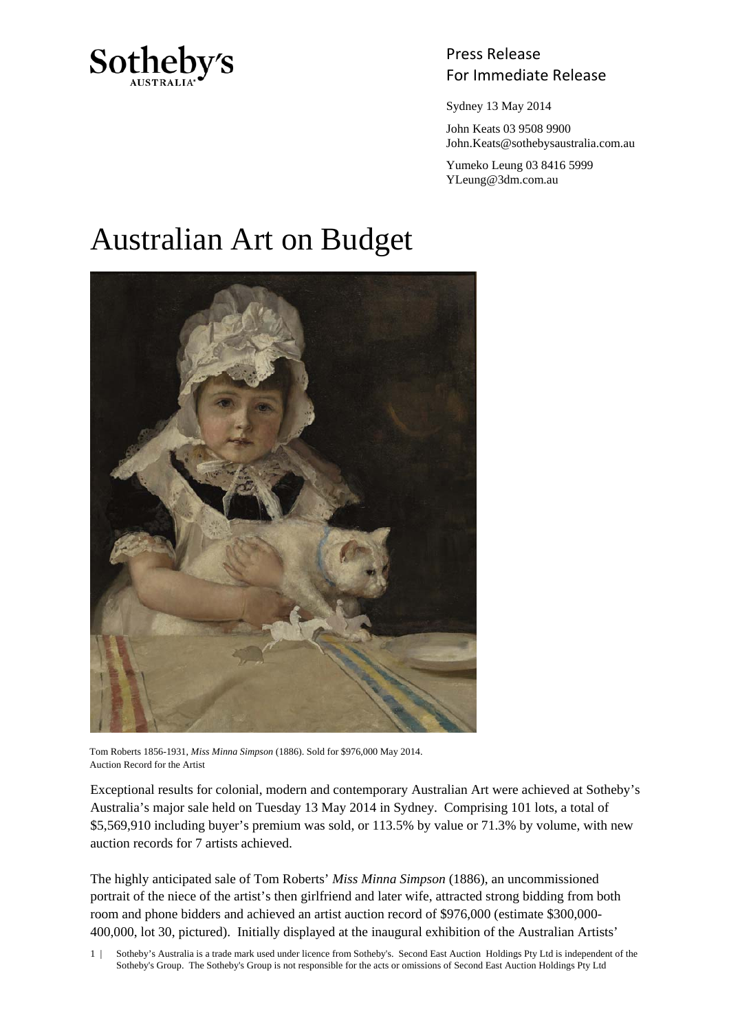

## Press Release Sotheby's<br>For Immediate Release

Sydney 13 May 2014

 John Keats 03 9508 9900 John.Keats@sothebysaustralia.com.au

 Yumeko Leung 03 8416 5999 YLeung@3dm.com.au

## Australian Art on Budget



Tom Roberts 1856-1931, *Miss Minna Simpson* (1886). Sold for \$976,000 May 2014. Auction Record for the Artist

Exceptional results for colonial, modern and contemporary Australian Art were achieved at Sotheby's Australia's major sale held on Tuesday 13 May 2014 in Sydney. Comprising 101 lots, a total of \$5,569,910 including buyer's premium was sold, or 113.5% by value or 71.3% by volume, with new auction records for 7 artists achieved.

The highly anticipated sale of Tom Roberts' *Miss Minna Simpson* (1886), an uncommissioned portrait of the niece of the artist's then girlfriend and later wife, attracted strong bidding from both room and phone bidders and achieved an artist auction record of \$976,000 (estimate \$300,000- 400,000, lot 30, pictured). Initially displayed at the inaugural exhibition of the Australian Artists'

1 | Sotheby's Australia is a trade mark used under licence from Sotheby's. Second East Auction Holdings Pty Ltd is independent of the Sotheby's Group. The Sotheby's Group is not responsible for the acts or omissions of Second East Auction Holdings Pty Ltd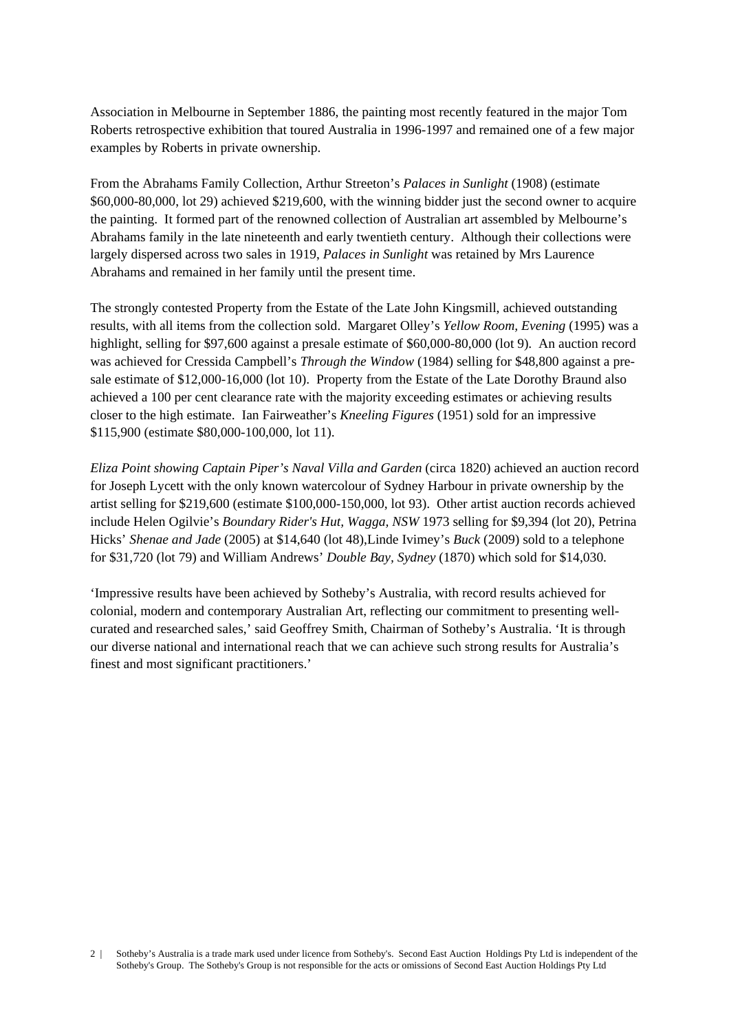Association in Melbourne in September 1886, the painting most recently featured in the major Tom Roberts retrospective exhibition that toured Australia in 1996-1997 and remained one of a few major examples by Roberts in private ownership.

From the Abrahams Family Collection, Arthur Streeton's *Palaces in Sunlight* (1908) (estimate \$60,000-80,000, lot 29) achieved \$219,600, with the winning bidder just the second owner to acquire the painting. It formed part of the renowned collection of Australian art assembled by Melbourne's Abrahams family in the late nineteenth and early twentieth century. Although their collections were largely dispersed across two sales in 1919, *Palaces in Sunlight* was retained by Mrs Laurence Abrahams and remained in her family until the present time.

The strongly contested Property from the Estate of the Late John Kingsmill, achieved outstanding results, with all items from the collection sold. Margaret Olley's *Yellow Room, Evening* (1995) was a highlight, selling for \$97,600 against a presale estimate of \$60,000-80,000 (lot 9). An auction record was achieved for Cressida Campbell's *Through the Window* (1984) selling for \$48,800 against a presale estimate of \$12,000-16,000 (lot 10). Property from the Estate of the Late Dorothy Braund also achieved a 100 per cent clearance rate with the majority exceeding estimates or achieving results closer to the high estimate. Ian Fairweather's *Kneeling Figures* (1951) sold for an impressive \$115,900 (estimate \$80,000-100,000, lot 11).

*Eliza Point showing Captain Piper's Naval Villa and Garden* (circa 1820) achieved an auction record for Joseph Lycett with the only known watercolour of Sydney Harbour in private ownership by the artist selling for \$219,600 (estimate \$100,000-150,000, lot 93). Other artist auction records achieved include Helen Ogilvie's *Boundary Rider's Hut, Wagga, NSW* 1973 selling for \$9,394 (lot 20), Petrina Hicks' *Shenae and Jade* (2005) at \$14,640 (lot 48),Linde Ivimey's *Buck* (2009) sold to a telephone for \$31,720 (lot 79) and William Andrews' *Double Bay, Sydney* (1870) which sold for \$14,030.

'Impressive results have been achieved by Sotheby's Australia, with record results achieved for colonial, modern and contemporary Australian Art, reflecting our commitment to presenting wellcurated and researched sales,' said Geoffrey Smith, Chairman of Sotheby's Australia. 'It is through our diverse national and international reach that we can achieve such strong results for Australia's finest and most significant practitioners.'

<sup>2 |</sup> Sotheby's Australia is a trade mark used under licence from Sotheby's. Second East Auction Holdings Pty Ltd is independent of the Sotheby's Group. The Sotheby's Group is not responsible for the acts or omissions of Second East Auction Holdings Pty Ltd